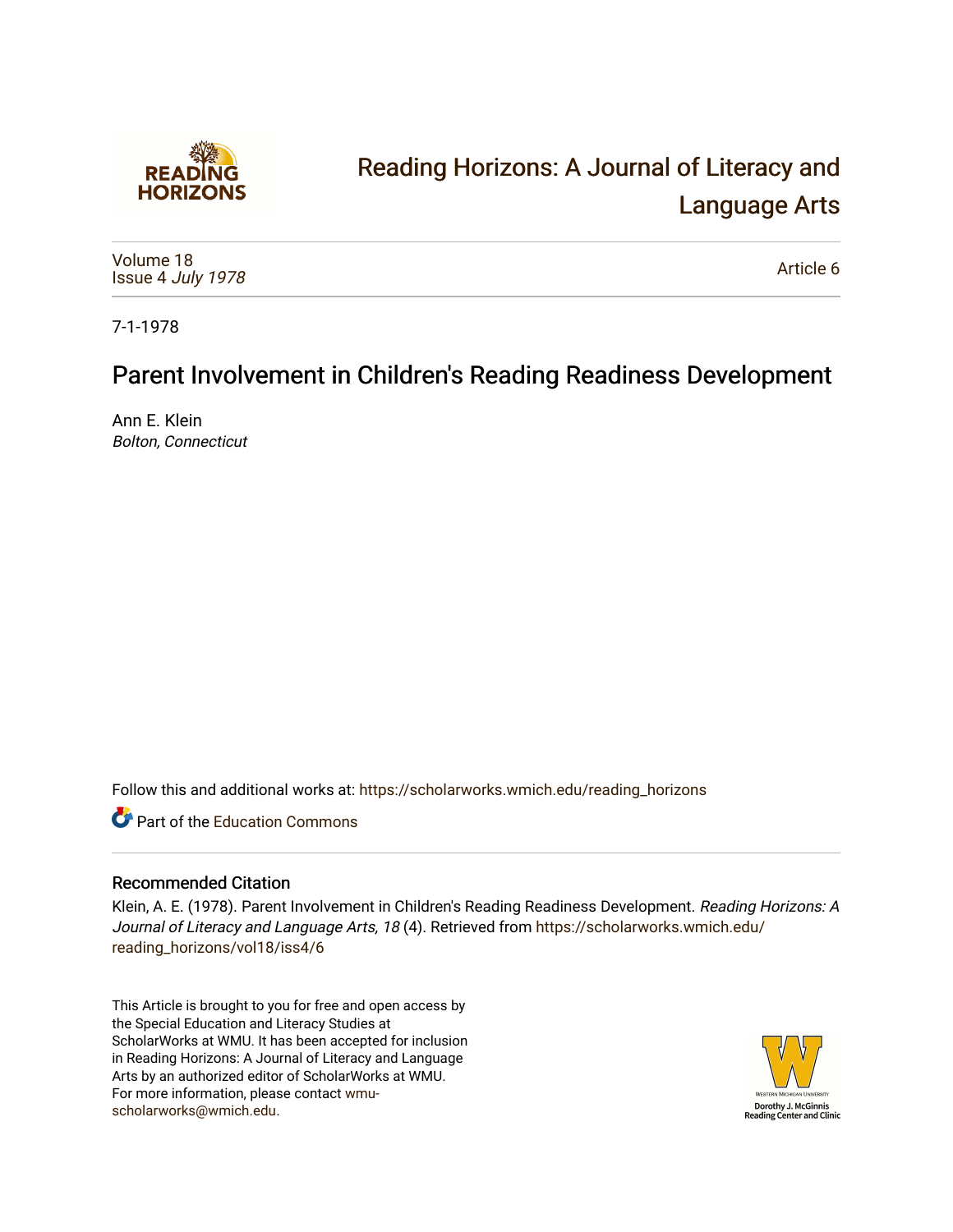

# [Reading Horizons: A Journal of Literacy and](https://scholarworks.wmich.edu/reading_horizons)  [Language Arts](https://scholarworks.wmich.edu/reading_horizons)

[Volume 18](https://scholarworks.wmich.edu/reading_horizons/vol18) Issue 4 [July 1978](https://scholarworks.wmich.edu/reading_horizons/vol18/iss4)

[Article 6](https://scholarworks.wmich.edu/reading_horizons/vol18/iss4/6) 

7-1-1978

## Parent Involvement in Children's Reading Readiness Development

Ann E. Klein Bolton, Connecticut

Follow this and additional works at: [https://scholarworks.wmich.edu/reading\\_horizons](https://scholarworks.wmich.edu/reading_horizons?utm_source=scholarworks.wmich.edu%2Freading_horizons%2Fvol18%2Fiss4%2F6&utm_medium=PDF&utm_campaign=PDFCoverPages)

**C** Part of the [Education Commons](http://network.bepress.com/hgg/discipline/784?utm_source=scholarworks.wmich.edu%2Freading_horizons%2Fvol18%2Fiss4%2F6&utm_medium=PDF&utm_campaign=PDFCoverPages)

#### Recommended Citation

Klein, A. E. (1978). Parent Involvement in Children's Reading Readiness Development. Reading Horizons: A Journal of Literacy and Language Arts, 18 (4). Retrieved from [https://scholarworks.wmich.edu/](https://scholarworks.wmich.edu/reading_horizons/vol18/iss4/6?utm_source=scholarworks.wmich.edu%2Freading_horizons%2Fvol18%2Fiss4%2F6&utm_medium=PDF&utm_campaign=PDFCoverPages) [reading\\_horizons/vol18/iss4/6](https://scholarworks.wmich.edu/reading_horizons/vol18/iss4/6?utm_source=scholarworks.wmich.edu%2Freading_horizons%2Fvol18%2Fiss4%2F6&utm_medium=PDF&utm_campaign=PDFCoverPages)

This Article is brought to you for free and open access by the Special Education and Literacy Studies at ScholarWorks at WMU. It has been accepted for inclusion in Reading Horizons: A Journal of Literacy and Language Arts by an authorized editor of ScholarWorks at WMU. For more information, please contact [wmu](mailto:wmu-scholarworks@wmich.edu)[scholarworks@wmich.edu.](mailto:wmu-scholarworks@wmich.edu)

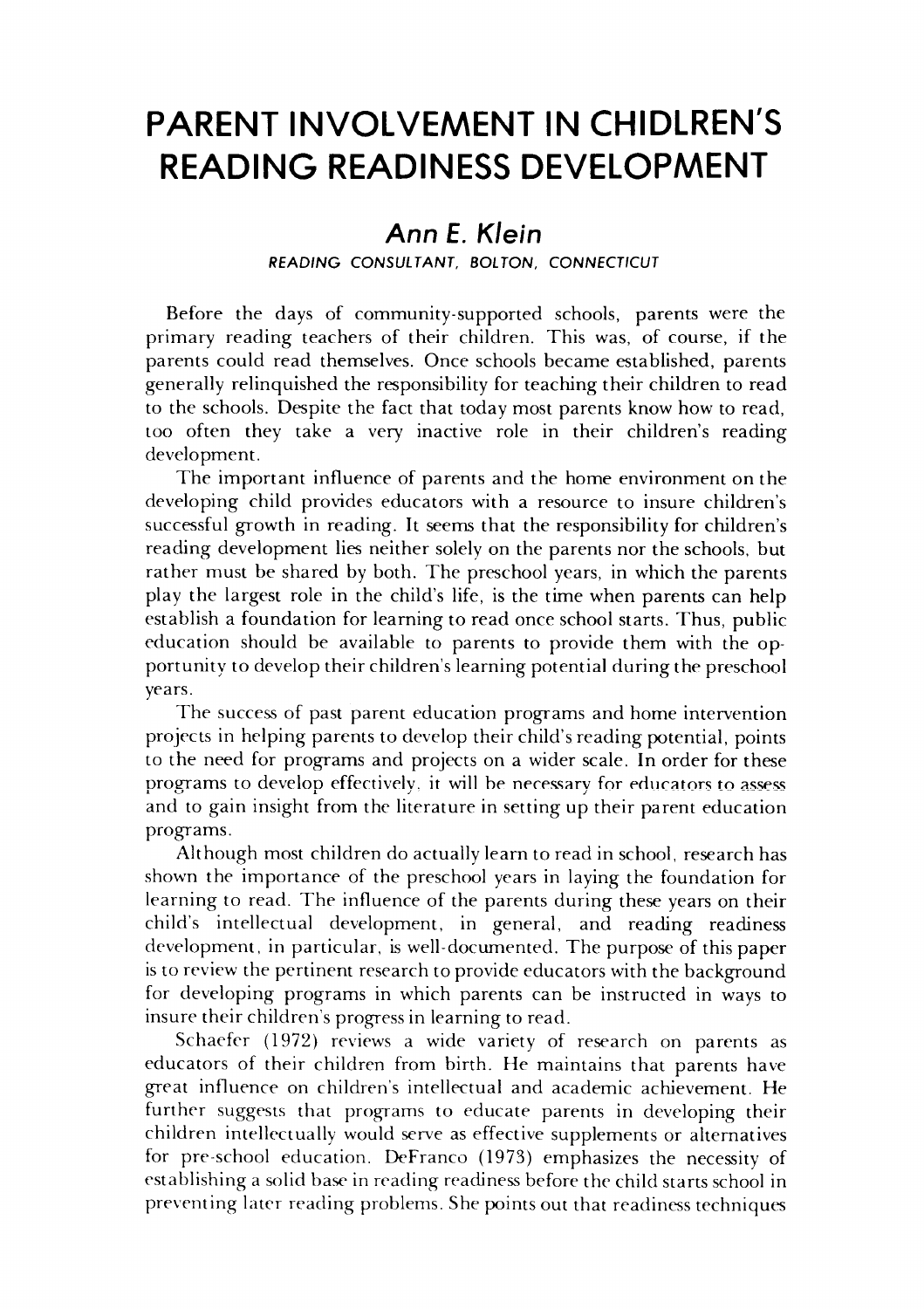### *PARENT INVOLVEMENT IN CHIDLREN'S* **PARENT INVOLVEMENT IN CHIDLREN'S**  *READING READINESS DEVELOPMENT* **READING READINESS DEVELOPMENT**

### Ann £. **Klein Ann E. Klein**

**READING CONSULTANT, BOLTON, CONNECTICUT** READING CONSULTANT, BOLTON, CONNECTICUT

Before the days of community-supported schools, parents were the Before the days of community-supported schools, parents were the primary reading teachers of their children. This was, of course, if the primary reading teachers of their children. This was, of course, if the parents could read themselves. Once schools became established, parents parents could read themselves. Once schools became established, parents generally relinquished the responsibility for teaching their children to read generally relinquished the responsibility for teaching their children to read to the schools. Despite the fact that today most parents know how to read, to the schools. Despite the fact that today most parents know how to read, too often they take a very inactive role in their children's reading too often they take a very inactive role in their children's reading development. develo pment.

The important influence of parents and the home environment on the The important influence of parents and the home environment on the developing child provides educators with a resource to insure children's developing child provides educators with a resource to insure children's successful growth in reading. It seems that the responsibility for children's successful growth in reading. It seems that the responsibility for children's reading development lies neither solely on the parents nor the schools, but reading development lies neither solely on the parents nor schools, but rather must be shared by both. The preschool years, in which the parents rather must be shared by both. The preschool years, in which the parents play the largest role in the child's life, is the time when parents can help play the largest role in the child's life, is the time when parents can help establish a foundation for learning to read once school starts. Thus, public education should be available to parents to provide them with the op education should be available to parents to provide them with the opportunity to develop their children's learning potential during the preschool portunity to develop their children's learning potential during the preschool years. years.

The success of past parent education programs and home intervention The success of past parent education programs and home intervention projects in helping parents to develop their child's reading potential, points projects in helping parents to develop their child's reading potential, points to the need for programs and projects on a wider scale. In order for these to the need for programs and projects on a wider scale. In order for these programs to develop effectively, it will be necessary for educators to assess and to gain insight from the literature in setting up their parent education and to gain insight from the literature in setting up their parent education programs. programs.

Although most children do actually learn to read in school, research has Although most children do actually learn to read in school, research has shown the importance of the preschool years in laying the foundation for shown the importance of the preschool years in laying the foundation for learning to read. The influence of the parents during these years on their learning to read. The influence of the parents during these years on their child's intellectual development, in general, and reading readiness child's intellectual development, in general, and reading readiness development, in particular, is well-documented. The purpose of this paper development, in particular, is well-documented. The purpose of this paper isto review the pertinent research to provide educators with the background is to review background for developing programs in which parents can be instructed in ways to for developing programs in which parents can be instructed in ways to insure their children's progress in learning to read. insure their children's progress in learning to read.

Schaefer (1972) reviews a wide variety of research on parents as Schaefer (1972) reviews a wide variety of research on parents as educators of their children from birth. He maintains that parents have educators of their children from birth. He maintains that parents have great influence on children's intellectual and academic achievement. He great influence on children's intellectual and academic achievement. He further suggests that programs to educate parents in developing their further suggests that programs to educate parents in developing their children intellectually would serve as effective supplements or alternatives children intellectually would serve as effective supplements or alternatives for pre-school education. DeFranco (1973) emphasizes the necessity of establishing a solid base in reading readiness before the child starts school in establishing a solid base in reading readiness before the child starts school in preventing later reading problems. She points out that readiness techniques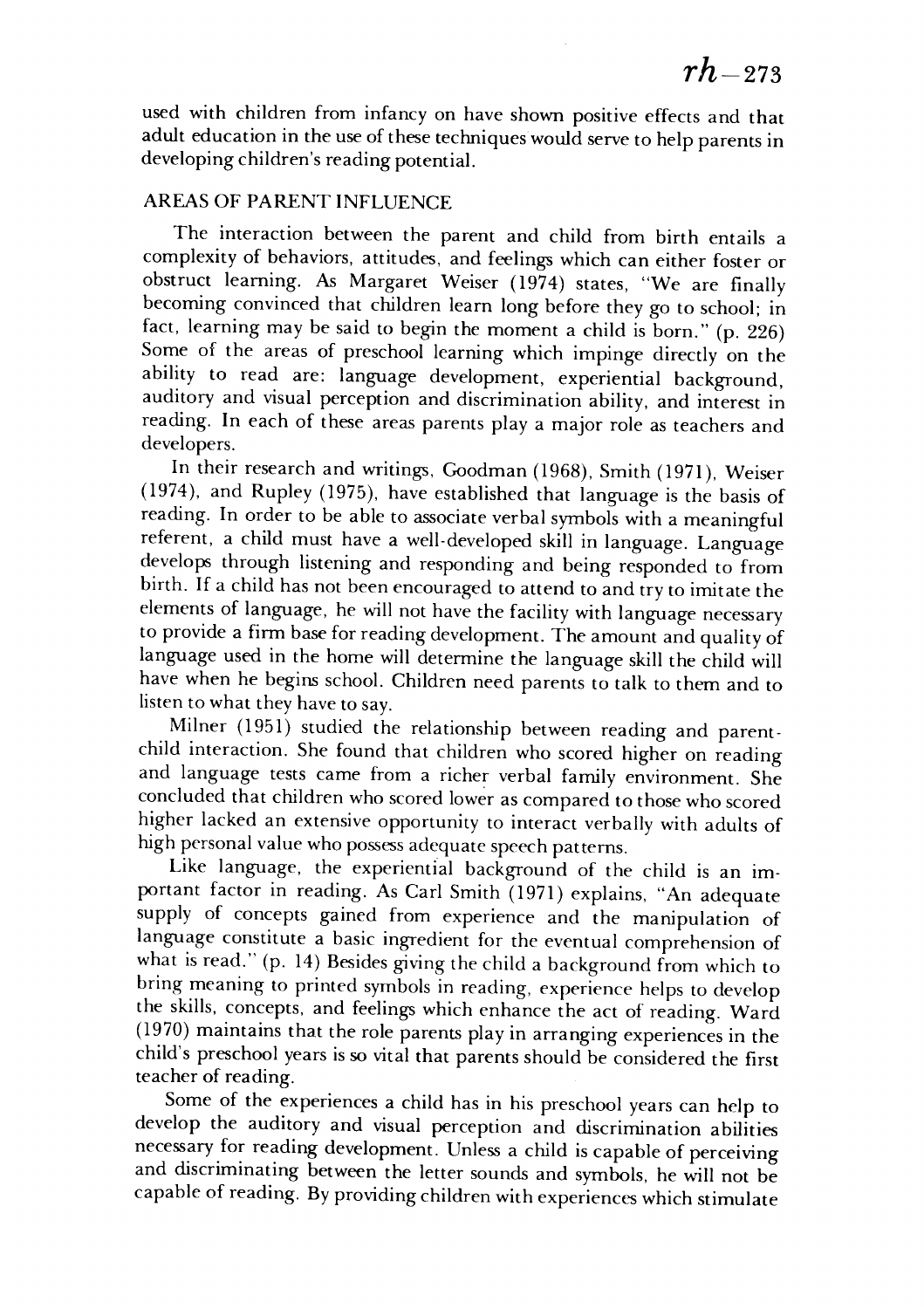used with children from infancy on have shown positive effects and that used with children from infancy on have shown positive effects and that adult education in the use of these techniques would serve to help parents in developingchildren's reading potential. developing children's reading potential.

#### AREAS OF PARENT INFLUENCE AREAS OF PARENT INFLUENCE

The interaction between the parent and child from birth entails a The interaction between the parent and child from birth entails a complexity of behaviors, attitudes, and feelings which can either foster or complexity of behaviors, attitudes, and feelings which can either foster or obstruct learning. As Margaret Weiser (1974) states, "We are finally obstruct learning. As Margaret Weiser (1974) states, "We are finally becoming convinced that children learn long before they go to school; in becoming convinced that children learn long before they go to school; in fact, learning may be said to begin the moment a child is born." (p. 226) fact, learning may be said to begin the moment a child is born." (p. 226) Some of the areas of preschool learning which impinge directly on the ability to read are: language development, experiential background, ability to read are: language development, experiential background, auditory and visual perception and discrimination ability, and interest in auditory and visual perception and discrimination ability, and interest in reading. In each of these areas parents play a major role as teachers and developers. developers.

In their research and writings, Goodman (1968), Smith (1971), Weiser **In** their research and writings, Goodman (1968), Smith (1971), Weiser (1974), and Rupley (1975), have established that language is the basis of (1974), and Rupley (1975), have established that language is the basis of reading. In order to be able to associate verbal symbols with a meaningful referent, a child must have a well-developed skill in language. Language referent, a child must have a well-developed skill in language. Language develops through listening and responding and being responded to from develops through listening and responding and being responded to from birth. If a child has not been encouraged to attend to and try to imitate the elements of language, he will not have the facility with language necessary to provide a firm base for reading development. The amount and quality of language used in the home will determine the language skill the child will language used in the home will determine the language skill the child will have when he begins school. Children need parents to talk to them and to have when he begins school. Children need parents to talk to them and to listento what they have to say. listen to what they have to say.

Milner (1951) studied the relationship between reading and parentchild interaction. She found that children who scored higher on reading child interaction. She found that children who scored higher on reading and language tests came from a richer verbal family environment. She and language tests came from a richer verbal family environment. She concluded that children who scored lower as compared to those who scored higher lacked an extensive opportunity to interact verbally with adults of higher lacked an extensive opportunity to interact verbally with adults of high personal value who possess adequate speech patterns. high personal value who possess adequate speech patterns.

Like language, the experiential background of the child is an im Like language, the experiential background of the child is an important factor in reading. As Carl Smith (1971) explains, "An adequate portant factor in reading. As Carl Smith (1971) explains, "An adequate supply of concepts gained from experience and the manipulation of supply of concepts gained from experience and the manipulation of language constitute a basic ingredient for the eventual comprehension of language constitute a basic ingredient for the eventual comprehension of what is read." (p. 14) Besides giving thechild a background from which to what is read." (p. 14) Besides giving the child a background from which to bring meaning to printed symbols in reading, experience helps to develop the skills, concepts, and feelings which enhance the act of reading. Ward (1970) maintains that the role parents play in arranging experiences in the child's preschool years issovital that parents should be considered the first child's preschool years is so vital that parents should be considered the first teacher of reading. teacher of reading.

Some of the experiences a child has in his preschool years can help to develop the auditory and visual perception and discrimination abilities develop the auditory and visual perception and discrimination abilities necessary for reading development. Unless a child is capable of perceiving and discriminating between the letter sounds and symbols, he will not be capable ofreading. By providing children with experiences which stimulate capable of reading. By providing children with experiences which stimulate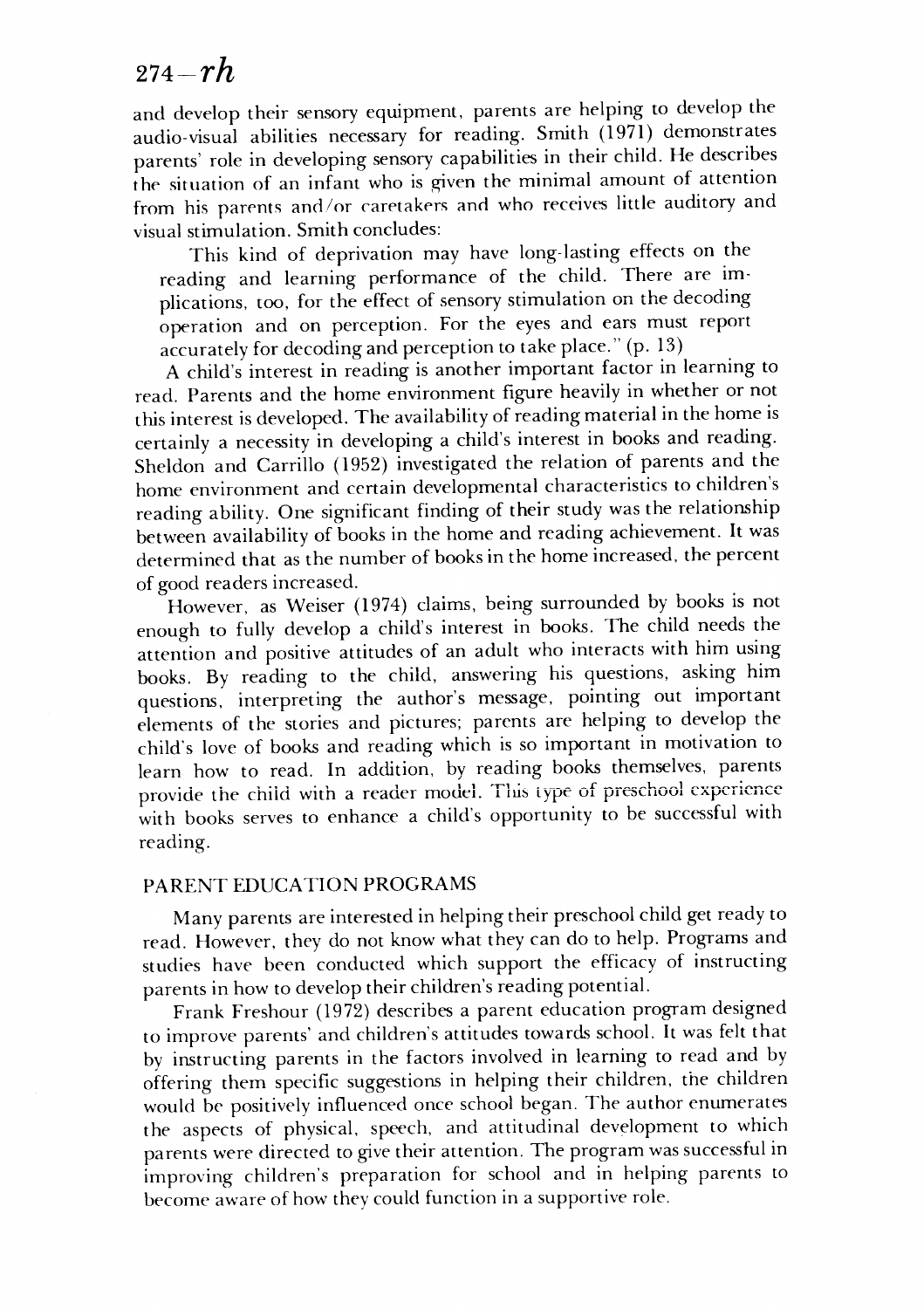## <sup>274</sup>**-rh** *274-rh*

and develop their sensory equipment, parents are helping to develop the and develop their sensory equipment, parents are helping to develop the audio-visual abilities necessary for reading. Smith (1971) demonstrates audio-visual abilities necessary for reading. Smith (1971) demonstrates parents' role in developing sensory capabilities in their child. He describes parents' role in developing sensory capabilities in their child. He describes the situation of an infant who is given the minimal amount of attention <sup>t</sup>he situation of an infant who is given the minimal amount of attention from his parents and/or caretakers and who receives little auditory and visual stimulation. Smith concludes: visual stimulation. Smith concludes:

This kind of deprivation may have long-lasting effects on the This kind of deprivation may have long-lasting effects on the reading and learning performance of the child. There are im reading and learning performance of the child. There are implications, too, for the effect of sensory stimulation on the decoding operation and on perception. For the eyes and ears must report operation and on perception. For the eyes and ears must report accurately for decoding andperception to takeplace." (p. 13) accurately for decoding and perception to take place." (p. 13)

A child's interest in reading is another important factor in learning to A child's interest in reading is another important factor in learning to read. Parents and the home environment figure heavily in whether or not read. Parents and the home environment figure heavily in whether or not this interest is developed. The availability of reading material in the home is certainly a necessity in developing a child's interest in books and reading. certainly a necessity in developing a child's interest in books and reading. Sheldon and Carrillo (1952) investigated the relation of parents and the Sheldon and Carrillo (1952) investigated the relation of parents and the home environment and certain developmental characteristics to children's home environment and certain developmental characteristics to children's reading ability. One significant finding oftheir study was the relationship reading ability. One significant finding of their study was the relationship between availability of books in the home and readingachievement. It was between availability of books in the home and reading achievement. It was determined that as the number of books in the home increased, the percent determined that as the number of books in the home increased, the percent of good readers increased. of good readers increased.

However, as Weiser (1974) claims, being surrounded by books is not However, as Weiser (1974) claims, being surrounded by books is not enough to fully develop a child's interest in books. The child needs the enough to fully develop a child's interest in books. The child needs the attention and positive attitudes of an adult who interacts with him using attention and positive attitudes of an adult who interacts with him using books. By reading to the child, answering his questions, asking him books. By reading to the child, answering his questions, asking him questions, interpreting the author's message, pointing out important questions, interpreting the author's message, pointing out important elements of the stories and pictures; parents are helping to develop the elements of the stories and pictures; parents are helping to develop the child's love of books and reading which is so important in motivation to child's love of books and reading which is so important in motivation to learn how to read. In addition, by reading books themselves, parents learn how to read. In addition, by reading books themselves, parents provide the child with a reader model. This type of preschool experience with books serves to enhance a child's opportunity to be successful with with books serves to enhance a child's opportunity to be successful with reading. reading.

#### PARENT EDUCATION PROGRAMS PARENT EDUCATION PROGRAMS

Many parents are interested in helping their preschool child get ready to read. However, they do not know what theycan do to help. Programs and read. However, they do not know what they can do to help. Programs and studies have been conducted which support the efficacy of instructing studies have been conducted which support the efficacy of instructing parents in how to develop their children's reading potential.

Frank Freshour (1972) describes a parent education program designed Frank Freshour (1972) describes a parent education program designed to improve parents' and children's attitudes towards school. It was felt that to improve parents' and children's attitudes towards school. It was felt that by instructing parents in the factors involved in learning to read and by by instructing parents in the factors involved in learning to read and by offering them specific suggestions in helping their children, the children offering them specific suggestions in helping their children, the children would be positively influenced once school began. The author enumerates would be positively influenced once school began. The author enumerates the aspects of physical, speech, and attitudinal development to which the aspects of physical, speech, and attitudinal development to which parents were directed to give their attention. The program was successful in improving children's preparation for school and in helping parents to improving children's preparation for school and in helping parents to become aware of how they could function in a supportive role. become aware of how they could function in a supportive role.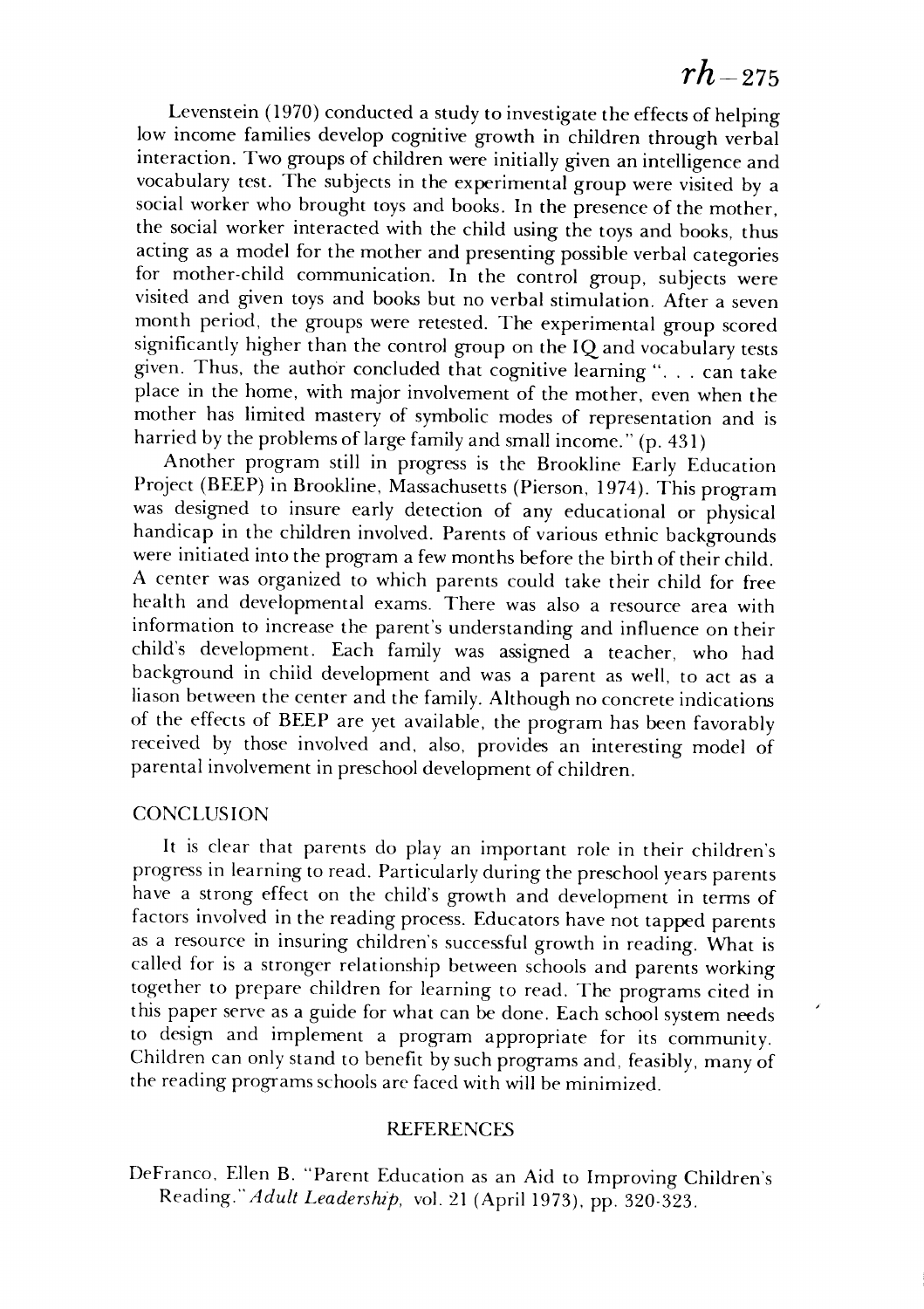### $rh_{-275}$

Levenstein (1970) conducted a study to investigate the effects of helping Levenstein (1970) conducted a study to investigate the effects of helping low income families develop cognitive growth in children through verbal interaction. Two groups of children were initially given an intelligence and interaction. Two groups of children were initially given an intelligence and vocabulary test. The subjects in the experimental group were visited by a vocabulary test. The subjects in the experimental group were visited by a social worker who brought toys and books. In the presence of the mother, social worker who brought toys and books. In the presence of the mother, the social worker interacted with the child using the toys and books, thus acting as a model for themother and presenting possible verbal categories acting as a model for the mother and presenting possible verbal categories for mother-child communication. In the control group, subjects were for mother-child communication. In the control group, subjects were visited and given toys and books but no verbal stimulation. After a seven visited and given toys and books but no verbal stimulation. After a seven month period, the groups were retested. The experimental group scored month period, the groups were retested. The experimental group scored significantly higher than the control group on the IQ and vocabulary tests given. Thus, the author concluded that cognitive learning ". . . can take given. Thus, the author concluded that cognitive learning" ... can take place in the home, with major involvement of the mother, even when the place in the home, with major involvement of the mother, even when the mother has limited mastery of symbolic modes of representation and is mother has limited mastery of symbolic modes of representation and is harried by the problems of large family and small income." (p. 431)

Another program still in progress is the Brookline Early Education Another program still in progress is the Brookline Early Education Project (BEEP) in Brookline, Massachusetts (Pierson, 1974). This program was designed to insure early detection of any educational or physical was designed to insure early detection of any educational or physical handicap in the children involved. Parents of various ethnic backgrounds handicap in the children involved. Parents of various ethnic backgrounds were initiated into the program a few months before the birth of their child. A center was organized to which parents could take their child for free A center was organized to which parents could take their child for free health and developmental exams. There was also a resource area with health and developmental exams. There was also a resource area with information to increase the parent's understanding and influence on their information to increase the parent's understanding and influence on their child's development. Each family was assigned a teacher, who had child's development. Each family was assigned a teacher, who had background in child development and was a parent as well, to act as a background in child development and was a parent as well, to act as a liason between the center and the family. Although no concrete indications liason between the center and the family. Although no concrete indications of the effects of BEEP are yet available, the program has been favorably of the effects of BEEP are yet available, the program has been favorably received by those involved and, also, provides an interesting model of received by those involved and, also, provides an interesting model of parental involvement in preschool developmentof children. parental involvement in preschool development of children.

#### CONCLUSION CONCLUSION

It is clear that parents do play an important role in their children's It is clear that parents do play an important role in their children's progress in learning to read. Particularly during the preschool years parents have a strong effect on the child's growth and development in terms of have a strong effect on the child's growth and development in terms of factors involved in the reading process. Educators have not tapped parents factors involved in the reading process. Educators have not tapped parents as a resource in insuring children's successful growth in reading. What is as a resource in insuring children's successful growth in reading. What is called for is a stronger relationship between schools and parents working called for is a stronger relationship between schools and parents working together to prepare children for learning to read. The programs cited in together to prepare children for learning to read. The programs cited in this paperserve as a guide for what can be done. Each school system needs this paper serve as a guide for what can be done. Each school system needs to design and implement a program appropriate for its community. to design and implement a program appropriate for its community. Children can only stand to benefit by such programs and, feasibly, many of Children can only stand to benefit by such programs and, feasibly, many of the reading programs schools are faced with will be minimized. the reading programs schools are faced with will be minimized.

#### REFERENCES REFERENCES

DeFranco, Ellen B. "Parent Education as an Aid to Improving Children's DeFranco. Ellen B. "Parent Education as an Aid to Improving Children's Reading." **Adult Leadership,** vol. 21 (April 1973), pp. 320-323. *Reading."Adult Leaderslup,* vol. 21 (April 1973), pp. 320-323.